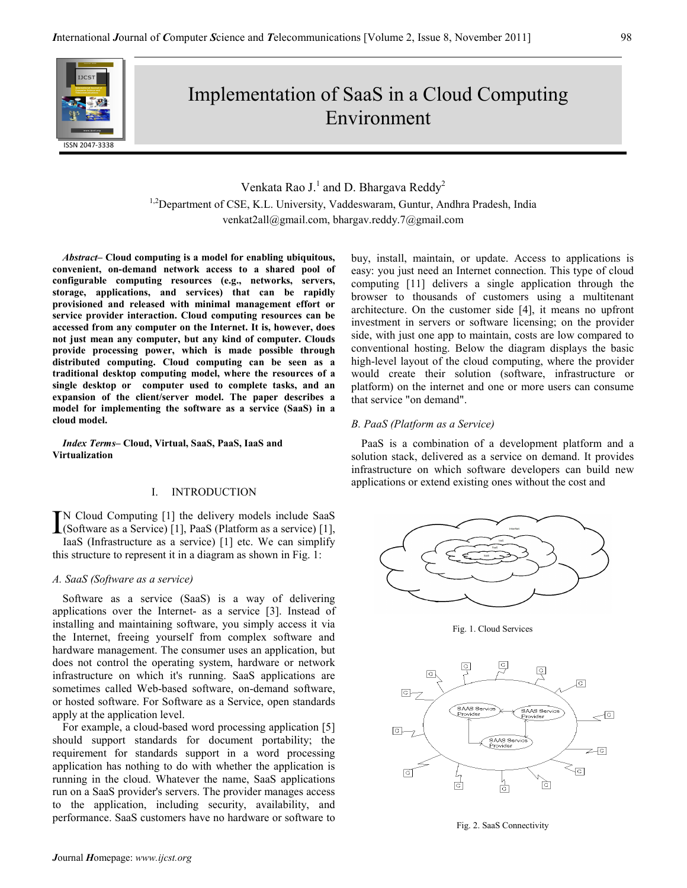

# Implementation of SaaS in a Cloud Computing Environment

Venkata Rao J.<sup>1</sup> and D. Bhargava Reddy<sup>2</sup> <sup>1,2</sup>Department of CSE, K.L. University, Vaddeswaram, Guntur, Andhra Pradesh, India venkat2all@gmail.com, bhargav.reddy.7@gmail.com

Abstract– Cloud computing is a model for enabling ubiquitous, convenient, on-demand network access to a shared pool of configurable computing resources (e.g., networks, servers, storage, applications, and services) that can be rapidly provisioned and released with minimal management effort or service provider interaction. Cloud computing resources can be accessed from any computer on the Internet. It is, however, does not just mean any computer, but any kind of computer. Clouds provide processing power, which is made possible through distributed computing. Cloud computing can be seen as a traditional desktop computing model, where the resources of a single desktop or computer used to complete tasks, and an expansion of the client/server model. The paper describes a model for implementing the software as a service (SaaS) in a cloud model.

Index Terms– Cloud, Virtual, SaaS, PaaS, IaaS and Virtualization

# I. INTRODUCTION

N Cloud Computing [1] the delivery models include SaaS  $\prod_{\text{So a function}}$  Cloud Computing [1] the delivery models include SaaS (Software as a Service) [1], PaaS (Platform as a service) [1], Iso S. (Infractructure as a service) [1], the Western simplify IaaS (Infrastructure as a service) [1] etc. We can simplify this structure to represent it in a diagram as shown in Fig. 1:

#### A. SaaS (Software as a service)

Software as a service (SaaS) is a way of delivering applications over the Internet- as a service [3]. Instead of installing and maintaining software, you simply access it via the Internet, freeing yourself from complex software and hardware management. The consumer uses an application, but does not control the operating system, hardware or network infrastructure on which it's running. SaaS applications are sometimes called Web-based software, on-demand software, or hosted software. For Software as a Service, open standards apply at the application level.

For example, a cloud-based word processing application [5] should support standards for document portability; the requirement for standards support in a word processing application has nothing to do with whether the application is running in the cloud. Whatever the name, SaaS applications run on a SaaS provider's servers. The provider manages access to the application, including security, availability, and performance. SaaS customers have no hardware or software to buy, install, maintain, or update. Access to applications is easy: you just need an Internet connection. This type of cloud computing [11] delivers a single application through the browser to thousands of customers using a multitenant architecture. On the customer side [4], it means no upfront investment in servers or software licensing; on the provider side, with just one app to maintain, costs are low compared to conventional hosting. Below the diagram displays the basic high-level layout of the cloud computing, where the provider would create their solution (software, infrastructure or platform) on the internet and one or more users can consume that service "on demand".

# B. PaaS (Platform as a Service)

PaaS is a combination of a development platform and a solution stack, delivered as a service on demand. It provides infrastructure on which software developers can build new applications or extend existing ones without the cost and



Fig. 1. Cloud Services



Fig. 2. SaaS Connectivity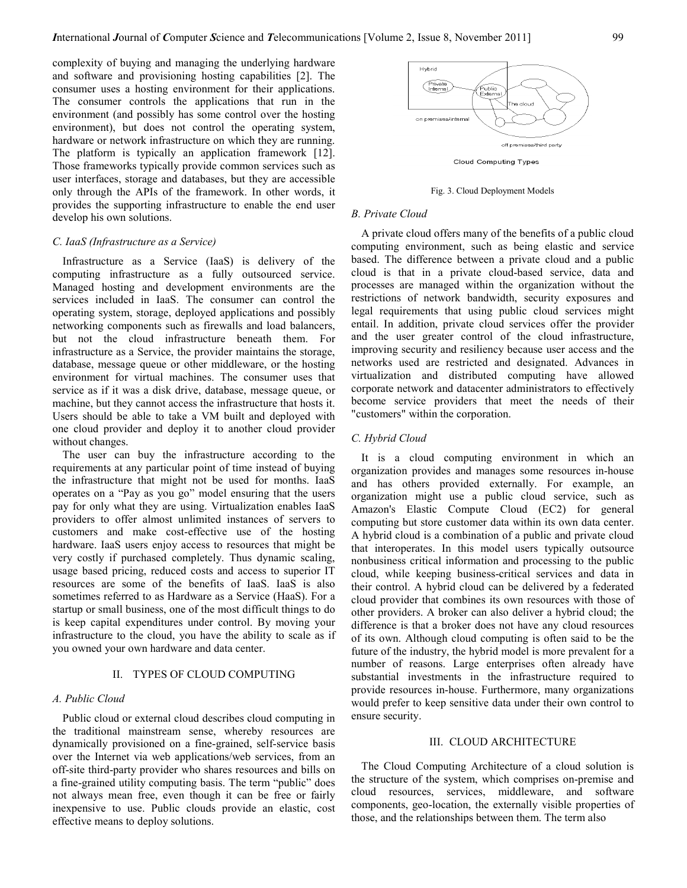complexity of buying and managing the underlying hardware and software and provisioning hosting capabilities [2]. The consumer uses a hosting environment for their applications. The consumer controls the applications that run in the environment (and possibly has some control over the hosting environment), but does not control the operating system, hardware or network infrastructure on which they are running. The platform is typically an application framework [12]. Those frameworks typically provide common services such as user interfaces, storage and databases, but they are accessible only through the APIs of the framework. In other words, it provides the supporting infrastructure to enable the end user develop his own solutions.

### C. IaaS (Infrastructure as a Service)

Infrastructure as a Service (IaaS) is delivery of the computing infrastructure as a fully outsourced service. Managed hosting and development environments are the services included in IaaS. The consumer can control the operating system, storage, deployed applications and possibly networking components such as firewalls and load balancers, but not the cloud infrastructure beneath them. For infrastructure as a Service, the provider maintains the storage, database, message queue or other middleware, or the hosting environment for virtual machines. The consumer uses that service as if it was a disk drive, database, message queue, or machine, but they cannot access the infrastructure that hosts it. Users should be able to take a VM built and deployed with one cloud provider and deploy it to another cloud provider without changes.

The user can buy the infrastructure according to the requirements at any particular point of time instead of buying the infrastructure that might not be used for months. IaaS operates on a "Pay as you go" model ensuring that the users pay for only what they are using. Virtualization enables IaaS providers to offer almost unlimited instances of servers to customers and make cost-effective use of the hosting hardware. IaaS users enjoy access to resources that might be very costly if purchased completely. Thus dynamic scaling, usage based pricing, reduced costs and access to superior IT resources are some of the benefits of IaaS. IaaS is also sometimes referred to as Hardware as a Service (HaaS). For a startup or small business, one of the most difficult things to do is keep capital expenditures under control. By moving your infrastructure to the cloud, you have the ability to scale as if you owned your own hardware and data center.

#### II. TYPES OF CLOUD COMPUTING

#### A. Public Cloud

Public cloud or external cloud describes cloud computing in the traditional mainstream sense, whereby resources are dynamically provisioned on a fine-grained, self-service basis over the Internet via web applications/web services, from an off-site third-party provider who shares resources and bills on a fine-grained utility computing basis. The term "public" does not always mean free, even though it can be free or fairly inexpensive to use. Public clouds provide an elastic, cost effective means to deploy solutions.



Fig. 3. Cloud Deployment Models

#### B. Private Cloud

A private cloud offers many of the benefits of a public cloud computing environment, such as being elastic and service based. The difference between a private cloud and a public cloud is that in a private cloud-based service, data and processes are managed within the organization without the restrictions of network bandwidth, security exposures and legal requirements that using public cloud services might entail. In addition, private cloud services offer the provider and the user greater control of the cloud infrastructure, improving security and resiliency because user access and the networks used are restricted and designated. Advances in virtualization and distributed computing have allowed corporate network and datacenter administrators to effectively become service providers that meet the needs of their "customers" within the corporation.

#### C. Hybrid Cloud

It is a cloud computing environment in which an organization provides and manages some resources in-house and has others provided externally. For example, an organization might use a public cloud service, such as Amazon's Elastic Compute Cloud (EC2) for general computing but store customer data within its own data center. A hybrid cloud is a combination of a public and private cloud that interoperates. In this model users typically outsource nonbusiness critical information and processing to the public cloud, while keeping business-critical services and data in their control. A hybrid cloud can be delivered by a federated cloud provider that combines its own resources with those of other providers. A broker can also deliver a hybrid cloud; the difference is that a broker does not have any cloud resources of its own. Although cloud computing is often said to be the future of the industry, the hybrid model is more prevalent for a number of reasons. Large enterprises often already have substantial investments in the infrastructure required to provide resources in-house. Furthermore, many organizations would prefer to keep sensitive data under their own control to ensure security.

#### III. CLOUD ARCHITECTURE

The Cloud Computing Architecture of a cloud solution is the structure of the system, which comprises on-premise and cloud resources, services, middleware, and software components, geo-location, the externally visible properties of those, and the relationships between them. The term also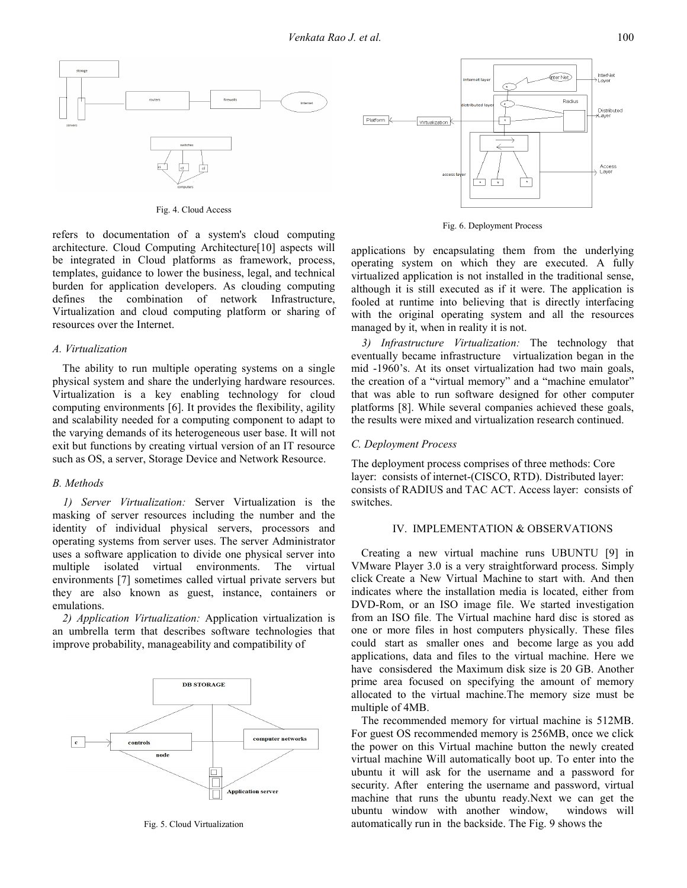

Fig. 4. Cloud Access

refers to documentation of a system's cloud computing architecture. Cloud Computing Architecture[10] aspects will be integrated in Cloud platforms as framework, process, templates, guidance to lower the business, legal, and technical burden for application developers. As clouding computing defines the combination of network Infrastructure, Virtualization and cloud computing platform or sharing of resources over the Internet.

#### A. Virtualization

The ability to run multiple operating systems on a single physical system and share the underlying hardware resources. Virtualization is a key enabling technology for cloud computing environments [6]. It provides the flexibility, agility and scalability needed for a computing component to adapt to the varying demands of its heterogeneous user base. It will not exit but functions by creating virtual version of an IT resource such as OS, a server, Storage Device and Network Resource.

#### B. Methods

1) Server Virtualization: Server Virtualization is the masking of server resources including the number and the identity of individual physical servers, processors and operating systems from server uses. The server Administrator uses a software application to divide one physical server into multiple isolated virtual environments. The virtual environments [7] sometimes called virtual private servers but they are also known as guest, instance, containers or emulations.

2) Application Virtualization: Application virtualization is an umbrella term that describes software technologies that improve probability, manageability and compatibility of



Fig. 5. Cloud Virtualization



Fig. 6. Deployment Process

applications by encapsulating them from the underlying operating system on which they are executed. A fully virtualized application is not installed in the traditional sense, although it is still executed as if it were. The application is fooled at runtime into believing that is directly interfacing with the original operating system and all the resources managed by it, when in reality it is not.

3) Infrastructure Virtualization: The technology that eventually became infrastructure virtualization began in the mid -1960's. At its onset virtualization had two main goals, the creation of a "virtual memory" and a "machine emulator" that was able to run software designed for other computer platforms [8]. While several companies achieved these goals, the results were mixed and virtualization research continued.

## C. Deployment Process

The deployment process comprises of three methods: Core layer: consists of internet-(CISCO, RTD). Distributed layer: consists of RADIUS and TAC ACT. Access layer: consists of switches.

#### IV. IMPLEMENTATION & OBSERVATIONS

Creating a new virtual machine runs UBUNTU [9] in VMware Player 3.0 is a very straightforward process. Simply click Create a New Virtual Machine to start with. And then indicates where the installation media is located, either from DVD-Rom, or an ISO image file. We started investigation from an ISO file. The Virtual machine hard disc is stored as one or more files in host computers physically. These files could start as smaller ones and become large as you add applications, data and files to the virtual machine. Here we have consisdered the Maximum disk size is 20 GB. Another prime area focused on specifying the amount of memory allocated to the virtual machine.The memory size must be multiple of 4MB.

The recommended memory for virtual machine is 512MB. For guest OS recommended memory is 256MB, once we click the power on this Virtual machine button the newly created virtual machine Will automatically boot up. To enter into the ubuntu it will ask for the username and a password for security. After entering the username and password, virtual machine that runs the ubuntu ready.Next we can get the ubuntu window with another window, windows will automatically run in the backside. The Fig. 9 shows the